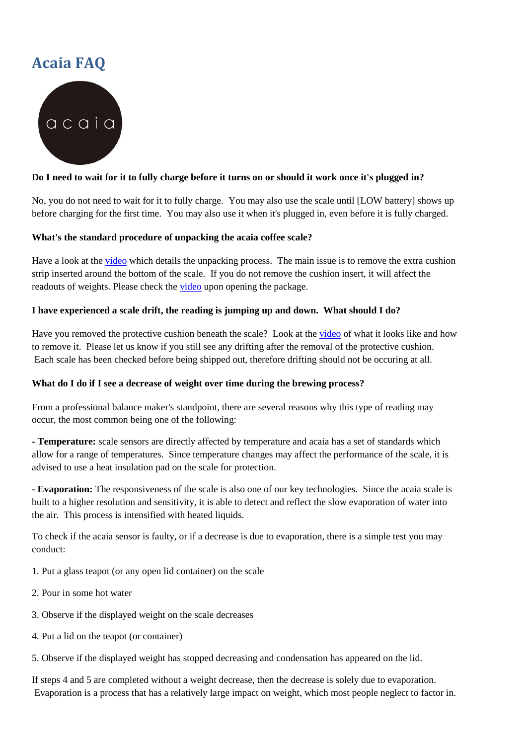# **Acaia FAQ**



### **Do I need to wait for it to fully charge before it turns on or should it work once it's plugged in?**

No, you do not need to wait for it to fully charge. You may also use the scale until [LOW battery] shows up before charging for the first time. You may also use it when it's plugged in, even before it is fully charged.

### **What's the standard procedure of unpacking the acaia coffee scale?**

Have a look at the [video](https://www.youtube.com/watch?v=5x0WY1iuhGw) which details the unpacking process. The main issue is to remove the extra cushion strip inserted around the bottom of the scale. If you do not remove the cushion insert, it will affect the readouts of weights. Please check the [video](https://www.youtube.com/watch?v=5x0WY1iuhGw) upon opening the package.

## **I have experienced a scale drift, the reading is jumping up and down. What should I do?**

Have you removed the protective cushion beneath the scale? Look at the [video](https://www.youtube.com/watch?v=5x0WY1iuhGw) of what it looks like and how to remove it. Please let us know if you still see any drifting after the removal of the protective cushion. Each scale has been checked before being shipped out, therefore drifting should not be occuring at all.

### **What do I do if I see a decrease of weight over time during the brewing process?**

From a professional balance maker's standpoint, there are several reasons why this type of reading may occur, the most common being one of the following:

**- Temperature:** scale sensors are directly affected by temperature and acaia has a set of standards which allow for a range of temperatures. Since temperature changes may affect the performance of the scale, it is advised to use a heat insulation pad on the scale for protection.

**- Evaporation:** The responsiveness of the scale is also one of our key technologies. Since the acaia scale is built to a higher resolution and sensitivity, it is able to detect and reflect the slow evaporation of water into the air. This process is intensified with heated liquids.

To check if the acaia sensor is faulty, or if a decrease is due to evaporation, there is a simple test you may conduct:

- 1. Put a glass teapot (or any open lid container) on the scale
- 2. Pour in some hot water
- 3. Observe if the displayed weight on the scale decreases
- 4. Put a lid on the teapot (or container)
- 5. Observe if the displayed weight has stopped decreasing and condensation has appeared on the lid.

If steps 4 and 5 are completed without a weight decrease, then the decrease is solely due to evaporation. Evaporation is a process that has a relatively large impact on weight, which most people neglect to factor in.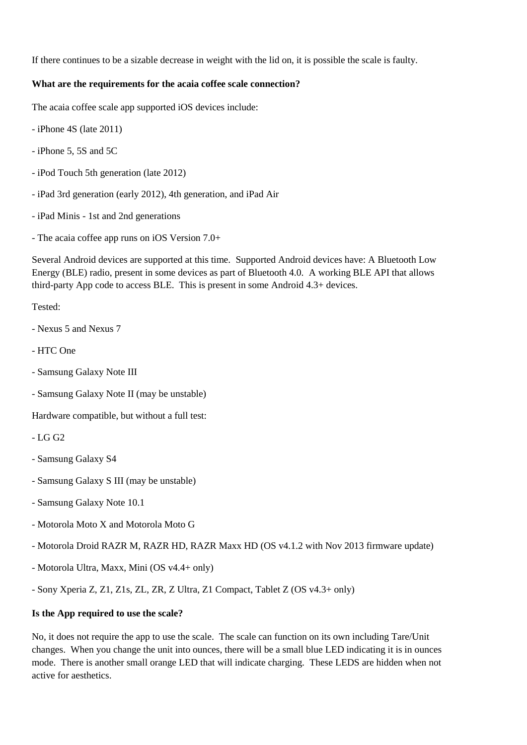If there continues to be a sizable decrease in weight with the lid on, it is possible the scale is faulty.

#### **What are the requirements for the acaia coffee scale connection?**

The acaia coffee scale app supported iOS devices include:

- iPhone 4S (late 2011)
- iPhone 5, 5S and 5C
- iPod Touch 5th generation (late 2012)
- iPad 3rd generation (early 2012), 4th generation, and iPad Air
- iPad Minis 1st and 2nd generations
- The acaia coffee app runs on iOS Version 7.0+

Several Android devices are supported at this time. Supported Android devices have: A Bluetooth Low Energy (BLE) radio, present in some devices as part of Bluetooth 4.0. A working BLE API that allows third-party App code to access BLE. This is present in some Android 4.3+ devices.

#### Tested:

- Nexus 5 and Nexus 7
- HTC One
- Samsung Galaxy Note III
- Samsung Galaxy Note II (may be unstable)

Hardware compatible, but without a full test:

- LG G2
- Samsung Galaxy S4
- Samsung Galaxy S III (may be unstable)
- Samsung Galaxy Note 10.1
- Motorola Moto X and Motorola Moto G
- Motorola Droid RAZR M, RAZR HD, RAZR Maxx HD (OS v4.1.2 with Nov 2013 firmware update)
- Motorola Ultra, Maxx, Mini (OS v4.4+ only)
- Sony Xperia Z, Z1, Z1s, ZL, ZR, Z Ultra, Z1 Compact, Tablet Z (OS v4.3+ only)

#### **Is the App required to use the scale?**

No, it does not require the app to use the scale. The scale can function on its own including Tare/Unit changes. When you change the unit into ounces, there will be a small blue LED indicating it is in ounces mode. There is another small orange LED that will indicate charging. These LEDS are hidden when not active for aesthetics.